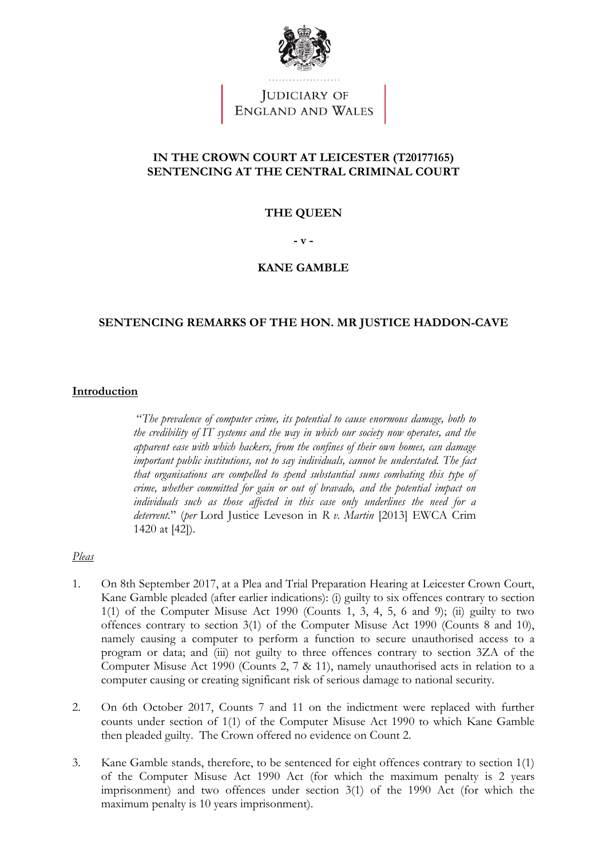

JUDICIARY OF<br>ENGLAND AND WALES

# **IN THE CROWN COURT AT LEICESTER (T20177165) SENTENCING AT THE CENTRAL CRIMINAL COURT**

#### **THE QUEEN**

**- v -**

#### **KANE GAMBLE**

#### **SENTENCING REMARKS OF THE HON. MR JUSTICE HADDON-CAVE**

#### **Introduction**

"*The prevalence of computer crime, its potential to cause enormous damage, both to the credibility of IT systems and the way in which our society now operates, and the apparent ease with which hackers, from the confines of their own homes, can damage important public institutions, not to say individuals, cannot be understated. The fact that organisations are compelled to spend substantial sums combating this type of crime, whether committed for gain or out of bravado, and the potential impact on individuals such as those affected in this case only underlines the need for a deterrent.*" (*per* Lord Justice Leveson in *R v. Martin* [2013] EWCA Crim 1420 at [42]).

### *Pleas*

- 1. On 8th September 2017, at a Plea and Trial Preparation Hearing at Leicester Crown Court, Kane Gamble pleaded (after earlier indications): (i) guilty to six offences contrary to section  $1(1)$  of the Computer Misuse Act 1990 (Counts 1, 3, 4, 5, 6 and 9); (ii) guilty to two offences contrary to section 3(1) of the Computer Misuse Act 1990 (Counts 8 and 10), namely causing a computer to perform a function to secure unauthorised access to a program or data; and (iii) not guilty to three offences contrary to section 3ZA of the Computer Misuse Act 1990 (Counts 2, 7 & 11), namely unauthorised acts in relation to a computer causing or creating significant risk of serious damage to national security.
- 2. On 6th October 2017, Counts 7 and 11 on the indictment were replaced with further counts under section of 1(1) of the Computer Misuse Act 1990 to which Kane Gamble then pleaded guilty. The Crown offered no evidence on Count 2.
- 3. Kane Gamble stands, therefore, to be sentenced for eight offences contrary to section 1(1) of the Computer Misuse Act 1990 Act (for which the maximum penalty is 2 years imprisonment) and two offences under section 3(1) of the 1990 Act (for which the maximum penalty is 10 years imprisonment).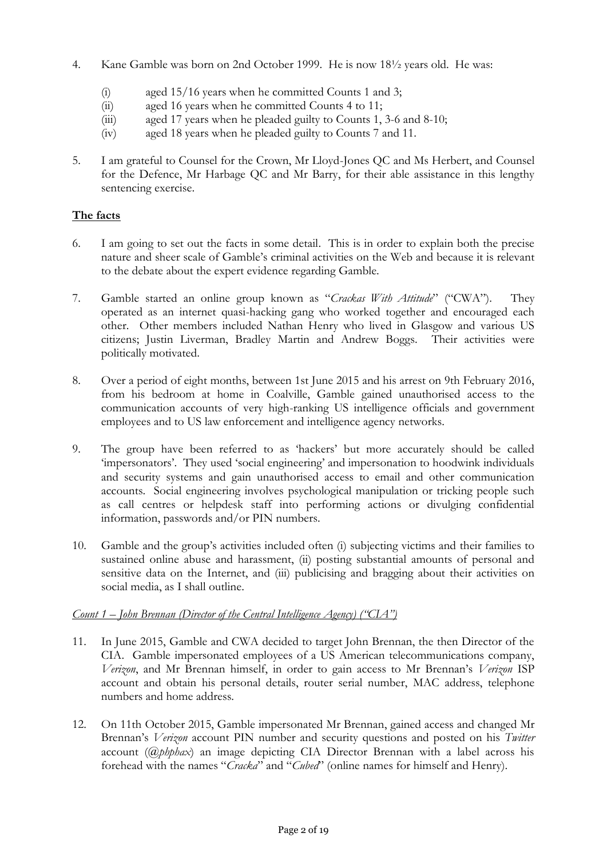- 4. Kane Gamble was born on 2nd October 1999. He is now 18½ years old. He was:
	-
	- (i) aged  $15/16$  years when he committed Counts 1 and 3;<br>(ii) aged 16 years when he committed Counts 4 to 11; aged 16 years when he committed Counts 4 to 11;
	- (iii) aged 17 years when he pleaded guilty to Counts 1, 3-6 and 8-10;<br>(iv) aged 18 years when he pleaded guilty to Counts 7 and 11.
	- aged 18 years when he pleaded guilty to Counts 7 and 11.
- 5. I am grateful to Counsel for the Crown, Mr Lloyd-Jones QC and Ms Herbert, and Counsel for the Defence, Mr Harbage QC and Mr Barry, for their able assistance in this lengthy sentencing exercise.

### **The facts**

- 6. I am going to set out the facts in some detail. This is in order to explain both the precise nature and sheer scale of Gamble's criminal activities on the Web and because it is relevant to the debate about the expert evidence regarding Gamble.
- 7. Gamble started an online group known as "*Crackas With Attitude*" ("CWA"). They operated as an internet quasi-hacking gang who worked together and encouraged each other. Other members included Nathan Henry who lived in Glasgow and various US citizens; Justin Liverman, Bradley Martin and Andrew Boggs. Their activities were politically motivated.
- 8. Over a period of eight months, between 1st June 2015 and his arrest on 9th February 2016, from his bedroom at home in Coalville, Gamble gained unauthorised access to the communication accounts of very high-ranking US intelligence officials and government employees and to US law enforcement and intelligence agency networks.
- 9. The group have been referred to as 'hackers' but more accurately should be called 'impersonators'. They used 'social engineering' and impersonation to hoodwink individuals and security systems and gain unauthorised access to email and other communication accounts. Social engineering involves psychological manipulation or tricking people such as call centres or helpdesk staff into performing actions or divulging confidential information, passwords and/or PIN numbers.
- 10. Gamble and the group's activities included often (i) subjecting victims and their families to sustained online abuse and harassment, (ii) posting substantial amounts of personal and sensitive data on the Internet, and (iii) publicising and bragging about their activities on social media, as I shall outline.

# *Count 1 – John Brennan (Director of the Central Intelligence Agency) ("CIA")*

- 11. In June 2015, Gamble and CWA decided to target John Brennan, the then Director of the CIA. Gamble impersonated employees of a US American telecommunications company, *Verizon*, and Mr Brennan himself, in order to gain access to Mr Brennan's *Verizon* ISP account and obtain his personal details, router serial number, MAC address, telephone numbers and home address.
- 12. On 11th October 2015, Gamble impersonated Mr Brennan, gained access and changed Mr Brennan's *Verizon* account PIN number and security questions and posted on his *Twitter* account (*@phphax*) an image depicting CIA Director Brennan with a label across his forehead with the names "*Cracka*" and "*Cubed*" (online names for himself and Henry).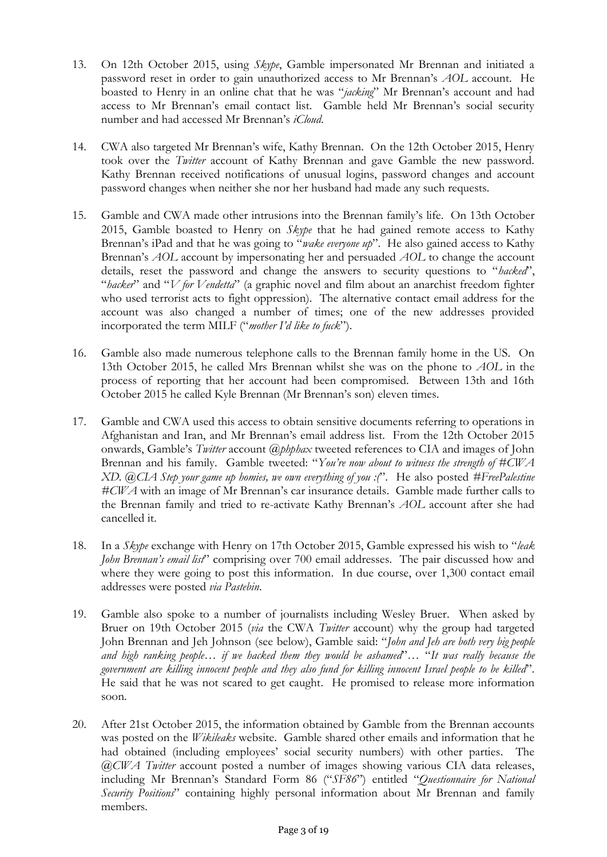- 13. On 12th October 2015, using *Skype*, Gamble impersonated Mr Brennan and initiated a password reset in order to gain unauthorized access to Mr Brennan's *AOL* account. He boasted to Henry in an online chat that he was "*jacking*" Mr Brennan's account and had access to Mr Brennan's email contact list. Gamble held Mr Brennan's social security number and had accessed Mr Brennan's *iCloud*.
- 14. CWA also targeted Mr Brennan's wife, Kathy Brennan. On the 12th October 2015, Henry took over the *Twitter* account of Kathy Brennan and gave Gamble the new password. Kathy Brennan received notifications of unusual logins, password changes and account password changes when neither she nor her husband had made any such requests.
- 15. Gamble and CWA made other intrusions into the Brennan family's life. On 13th October 2015, Gamble boasted to Henry on *Skype* that he had gained remote access to Kathy Brennan's iPad and that he was going to "*wake everyone up*". He also gained access to Kathy Brennan's *AOL* account by impersonating her and persuaded *AOL* to change the account details, reset the password and change the answers to security questions to "*hacked*", "*hacker*" and "*V for Vendetta*" (a graphic novel and film about an anarchist freedom fighter who used terrorist acts to fight oppression). The alternative contact email address for the account was also changed a number of times; one of the new addresses provided incorporated the term MILF ("*mother I'd like to fuck*").
- 16. Gamble also made numerous telephone calls to the Brennan family home in the US. On 13th October 2015, he called Mrs Brennan whilst she was on the phone to *AOL* in the process of reporting that her account had been compromised. Between 13th and 16th October 2015 he called Kyle Brennan (Mr Brennan's son) eleven times.
- 17. Gamble and CWA used this access to obtain sensitive documents referring to operations in Afghanistan and Iran, and Mr Brennan's email address list. From the 12th October 2015 onwards, Gamble's *Twitter* account *@phphax* tweeted references to CIA and images of John Brennan and his family. Gamble tweeted: "*You're now about to witness the strength of #CWA XD. @CIA Step your game up homies, we own everything of you :(*". He also posted *#FreePalestine #CWA* with an image of Mr Brennan's car insurance details. Gamble made further calls to the Brennan family and tried to re-activate Kathy Brennan's *AOL* account after she had cancelled it.
- 18. In a *Skype* exchange with Henry on 17th October 2015, Gamble expressed his wish to "*leak John Brennan's email list*" comprising over 700 email addresses. The pair discussed how and where they were going to post this information. In due course, over 1,300 contact email addresses were posted *via Pastebin*.
- 19. Gamble also spoke to a number of journalists including Wesley Bruer. When asked by Bruer on 19th October 2015 (*via* the CWA *Twitter* account) why the group had targeted John Brennan and Jeh Johnson (see below), Gamble said: "*John and Jeh are both very big people and high ranking people… if we hacked them they would be ashamed*"… "*It was really because the government are killing innocent people and they also fund for killing innocent Israel people to be killed*". He said that he was not scared to get caught. He promised to release more information soon.
- 20. After 21st October 2015, the information obtained by Gamble from the Brennan accounts was posted on the *Wikileaks* website. Gamble shared other emails and information that he had obtained (including employees' social security numbers) with other parties. The *@CWA Twitter* account posted a number of images showing various CIA data releases, including Mr Brennan's Standard Form 86 ("*SF86*") entitled "*Questionnaire for National Security Positions*" containing highly personal information about Mr Brennan and family members.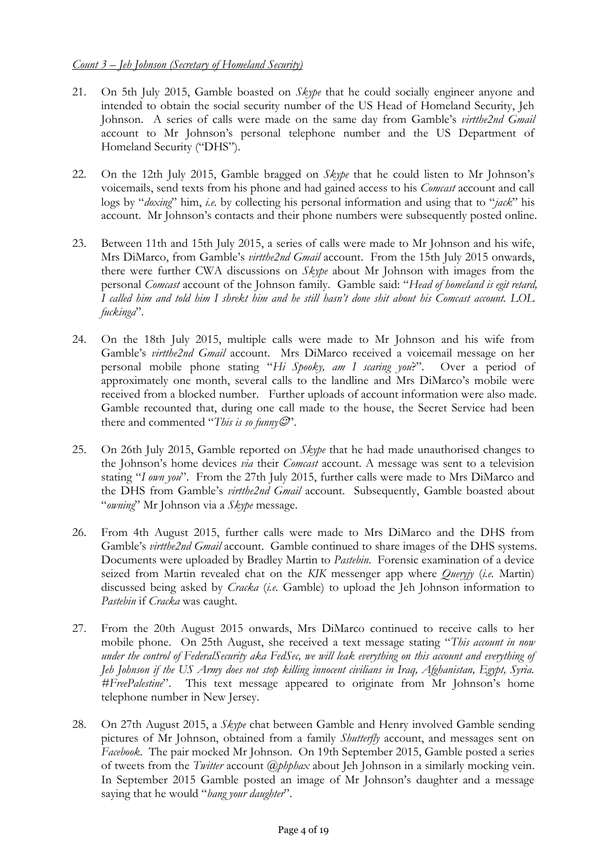# *Count 3 – Jeh Johnson (Secretary of Homeland Security)*

- 21. On 5th July 2015, Gamble boasted on *Skype* that he could socially engineer anyone and intended to obtain the social security number of the US Head of Homeland Security, Jeh Johnson. A series of calls were made on the same day from Gamble's *virtthe2nd Gmail* account to Mr Johnson's personal telephone number and the US Department of Homeland Security ("DHS").
- 22. On the 12th July 2015, Gamble bragged on *Skype* that he could listen to Mr Johnson's voicemails, send texts from his phone and had gained access to his *Comcast* account and call logs by "*doxing*" him, *i.e.* by collecting his personal information and using that to "*jack*" his account. Mr Johnson's contacts and their phone numbers were subsequently posted online.
- 23. Between 11th and 15th July 2015, a series of calls were made to Mr Johnson and his wife, Mrs DiMarco, from Gamble's *virtthe2nd Gmail* account. From the 15th July 2015 onwards, there were further CWA discussions on *Skype* about Mr Johnson with images from the personal *Comcast* account of the Johnson family. Gamble said: "*Head of homeland is egit retard, I called him and told him I shrekt him and he still hasn't done shit about his Comcast account. LOL fuckinga*".
- 24. On the 18th July 2015, multiple calls were made to Mr Johnson and his wife from Gamble's *virtthe2nd Gmail* account. Mrs DiMarco received a voicemail message on her personal mobile phone stating "*Hi Spooky, am I scaring you*?". Over a period of approximately one month, several calls to the landline and Mrs DiMarco's mobile were received from a blocked number. Further uploads of account information were also made. Gamble recounted that, during one call made to the house, the Secret Service had been there and commented "*This is so funny*  $\mathcal{O}'$ .
- 25. On 26th July 2015, Gamble reported on *Skype* that he had made unauthorised changes to the Johnson's home devices *via* their *Comcast* account. A message was sent to a television stating "*I own you*". From the 27th July 2015, further calls were made to Mrs DiMarco and the DHS from Gamble's *virtthe2nd Gmail* account. Subsequently, Gamble boasted about "*owning*" Mr Johnson via a *Skype* message.
- 26. From 4th August 2015, further calls were made to Mrs DiMarco and the DHS from Gamble's *virtthe2nd Gmail* account. Gamble continued to share images of the DHS systems. Documents were uploaded by Bradley Martin to *Pastebin*. Forensic examination of a device seized from Martin revealed chat on the *KIK* messenger app where *Queryjy* (*i.e.* Martin) discussed being asked by *Cracka* (*i.e.* Gamble) to upload the Jeh Johnson information to *Pastebin* if *Cracka* was caught.
- 27. From the 20th August 2015 onwards, Mrs DiMarco continued to receive calls to her mobile phone. On 25th August, she received a text message stating "*This account in now under the control of FederalSecurity aka FedSec, we will leak everything on this account and everything of Jeh Johnson if the US Army does not stop killing innocent civilians in Iraq, Afghanistan, Egypt, Syria. #FreePalestine*". This text message appeared to originate from Mr Johnson's home telephone number in New Jersey.
- 28. On 27th August 2015, a *Skype* chat between Gamble and Henry involved Gamble sending pictures of Mr Johnson, obtained from a family *Shutterfly* account, and messages sent on *Facebook*. The pair mocked Mr Johnson. On 19th September 2015, Gamble posted a series of tweets from the *Twitter* account *@phphax* about Jeh Johnson in a similarly mocking vein. In September 2015 Gamble posted an image of Mr Johnson's daughter and a message saying that he would "*bang your daughter*".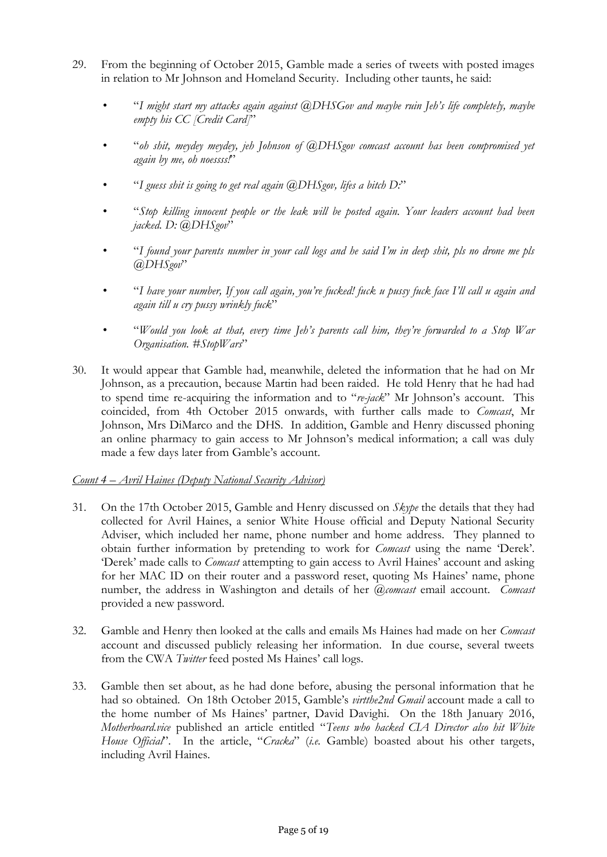- 29. From the beginning of October 2015, Gamble made a series of tweets with posted images in relation to Mr Johnson and Homeland Security. Including other taunts, he said:
	- "*I might start my attacks again against @DHSGov and maybe ruin Jeh's life completely, maybe empty his CC [Credit Card]*"
	- "*oh shit, meydey meydey, jeh Johnson of @DHSgov comcast account has been compromised yet again by me, oh noessss!*"
	- "*I guess shit is going to get real again @DHSgov, lifes a bitch D:*"
	- "*Stop killing innocent people or the leak will be posted again. Your leaders account had been jacked. D: @DHSgov*"
	- "*I found your parents number in your call logs and he said I'm in deep shit, pls no drone me pls @DHSgov*"
	- "*I have your number, If you call again, you're fucked! fuck u pussy fuck face I'll call u again and again till u cry pussy wrinkly fuck*"
	- "*Would you look at that, every time Jeh's parents call him, they're forwarded to a Stop War Organisation. #StopWars*"
- 30. It would appear that Gamble had, meanwhile, deleted the information that he had on Mr Johnson, as a precaution, because Martin had been raided. He told Henry that he had had to spend time re-acquiring the information and to "*re-jack*" Mr Johnson's account. This coincided, from 4th October 2015 onwards, with further calls made to *Comcast*, Mr Johnson, Mrs DiMarco and the DHS. In addition, Gamble and Henry discussed phoning an online pharmacy to gain access to Mr Johnson's medical information; a call was duly made a few days later from Gamble's account.

#### *Count 4 – Avril Haines (Deputy National Security Advisor)*

- 31. On the 17th October 2015, Gamble and Henry discussed on *Skype* the details that they had collected for Avril Haines, a senior White House official and Deputy National Security Adviser, which included her name, phone number and home address. They planned to obtain further information by pretending to work for *Comcast* using the name 'Derek'. 'Derek' made calls to *Comcast* attempting to gain access to Avril Haines' account and asking for her MAC ID on their router and a password reset, quoting Ms Haines' name, phone number, the address in Washington and details of her *@comcast* email account. *Comcast* provided a new password.
- 32. Gamble and Henry then looked at the calls and emails Ms Haines had made on her *Comcast* account and discussed publicly releasing her information. In due course, several tweets from the CWA *Twitter* feed posted Ms Haines' call logs.
- 33. Gamble then set about, as he had done before, abusing the personal information that he had so obtained. On 18th October 2015, Gamble's *virtthe2nd Gmail* account made a call to the home number of Ms Haines' partner, David Davighi. On the 18th January 2016, *Motherboard.vice* published an article entitled "*Teens who hacked CIA Director also hit White House Official*". In the article, "*Cracka*" (*i.e.* Gamble) boasted about his other targets, including Avril Haines.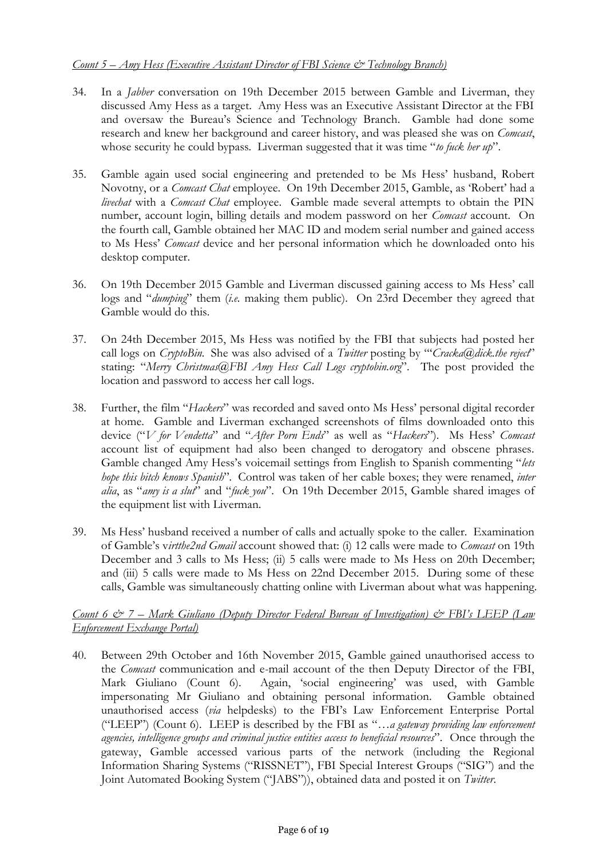- 34. In a *Jabber* conversation on 19th December 2015 between Gamble and Liverman, they discussed Amy Hess as a target. Amy Hess was an Executive Assistant Director at the FBI and oversaw the Bureau's Science and Technology Branch. Gamble had done some research and knew her background and career history, and was pleased she was on *Comcast*, whose security he could bypass. Liverman suggested that it was time "*to fuck her up*".
- 35. Gamble again used social engineering and pretended to be Ms Hess' husband, Robert Novotny, or a *Comcast Chat* employee. On 19th December 2015, Gamble, as 'Robert' had a *livechat* with a *Comcast Chat* employee. Gamble made several attempts to obtain the PIN number, account login, billing details and modem password on her *Comcast* account. On the fourth call, Gamble obtained her MAC ID and modem serial number and gained access to Ms Hess' *Comcast* device and her personal information which he downloaded onto his desktop computer.
- 36. On 19th December 2015 Gamble and Liverman discussed gaining access to Ms Hess' call logs and "*dumping*" them (*i.e.* making them public). On 23rd December they agreed that Gamble would do this.
- 37. On 24th December 2015, Ms Hess was notified by the FBI that subjects had posted her call logs on *CryptoBin.* She was also advised of a *Twitter* posting by "'*Cracka@dick.the reject*" stating: "*Merry Christmas@FBI Amy Hess Call Logs cryptobin.org*". The post provided the location and password to access her call logs.
- 38. Further, the film "*Hackers*" was recorded and saved onto Ms Hess' personal digital recorder at home. Gamble and Liverman exchanged screenshots of films downloaded onto this device ("*V for Vendetta*" and "*After Porn Ends*" as well as "*Hackers*"). Ms Hess' *Comcast* account list of equipment had also been changed to derogatory and obscene phrases. Gamble changed Amy Hess's voicemail settings from English to Spanish commenting "*lets hope this bitch knows Spanish*"*.* Control was taken of her cable boxes; they were renamed, *inter alia*, as "*amy is a slut*" and "*fuck you*". On 19th December 2015, Gamble shared images of the equipment list with Liverman.
- 39. Ms Hess' husband received a number of calls and actually spoke to the caller. Examination of Gamble's v*irtthe2nd Gmail* account showed that: (i) 12 calls were made to *Comcast* on 19th December and 3 calls to Ms Hess; (ii) 5 calls were made to Ms Hess on 20th December; and (iii) 5 calls were made to Ms Hess on 22nd December 2015. During some of these calls, Gamble was simultaneously chatting online with Liverman about what was happening.

#### *Count 6 & 7 – Mark Giuliano (Deputy Director Federal Bureau of Investigation) & FBI's LEEP (Law Enforcement Exchange Portal)*

40. Between 29th October and 16th November 2015, Gamble gained unauthorised access to the *Comcast* communication and e-mail account of the then Deputy Director of the FBI, Mark Giuliano (Count 6). Again, 'social engineering' was used, with Gamble impersonating Mr Giuliano and obtaining personal information. Gamble obtained unauthorised access (*via* helpdesks) to the FBI's Law Enforcement Enterprise Portal ("LEEP") (Count 6). LEEP is described by the FBI as "*…a gateway providing law enforcement agencies, intelligence groups and criminal justice entities access to beneficial resources*". Once through the gateway, Gamble accessed various parts of the network (including the Regional Information Sharing Systems ("RISSNET"), FBI Special Interest Groups ("SIG") and the Joint Automated Booking System ("JABS")), obtained data and posted it on *Twitter*.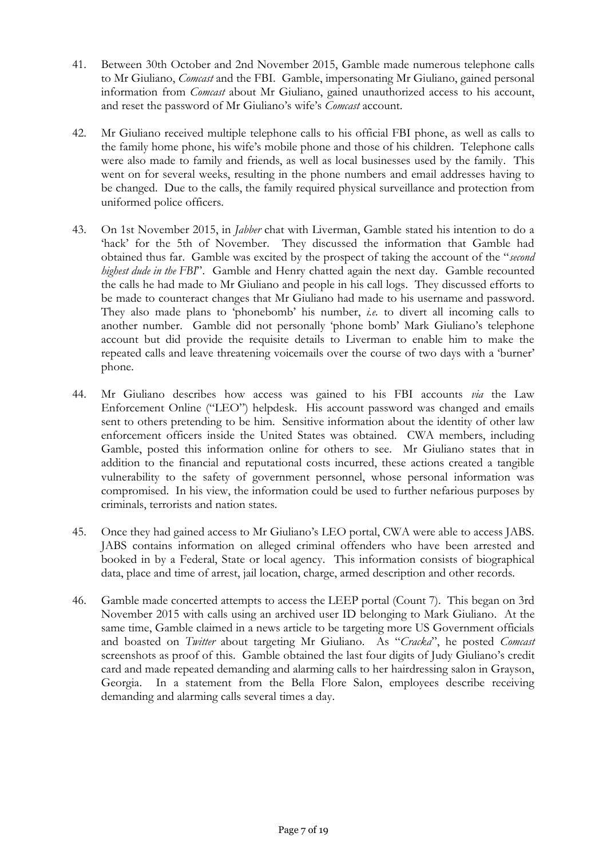- 41. Between 30th October and 2nd November 2015, Gamble made numerous telephone calls to Mr Giuliano, *Comcast* and the FBI. Gamble, impersonating Mr Giuliano, gained personal information from *Comcast* about Mr Giuliano, gained unauthorized access to his account, and reset the password of Mr Giuliano's wife's *Comcast* account.
- 42. Mr Giuliano received multiple telephone calls to his official FBI phone, as well as calls to the family home phone, his wife's mobile phone and those of his children. Telephone calls were also made to family and friends, as well as local businesses used by the family. This went on for several weeks, resulting in the phone numbers and email addresses having to be changed. Due to the calls, the family required physical surveillance and protection from uniformed police officers.
- 43. On 1st November 2015, in *Jabber* chat with Liverman, Gamble stated his intention to do a 'hack' for the 5th of November. They discussed the information that Gamble had obtained thus far. Gamble was excited by the prospect of taking the account of the "*second highest dude in the FBI*". Gamble and Henry chatted again the next day. Gamble recounted the calls he had made to Mr Giuliano and people in his call logs. They discussed efforts to be made to counteract changes that Mr Giuliano had made to his username and password. They also made plans to 'phonebomb' his number, *i.e.* to divert all incoming calls to another number. Gamble did not personally 'phone bomb' Mark Giuliano's telephone account but did provide the requisite details to Liverman to enable him to make the repeated calls and leave threatening voicemails over the course of two days with a 'burner' phone.
- 44. Mr Giuliano describes how access was gained to his FBI accounts *via* the Law Enforcement Online ("LEO") helpdesk. His account password was changed and emails sent to others pretending to be him. Sensitive information about the identity of other law enforcement officers inside the United States was obtained. CWA members, including Gamble, posted this information online for others to see. Mr Giuliano states that in addition to the financial and reputational costs incurred, these actions created a tangible vulnerability to the safety of government personnel, whose personal information was compromised. In his view, the information could be used to further nefarious purposes by criminals, terrorists and nation states.
- 45. Once they had gained access to Mr Giuliano's LEO portal, CWA were able to access JABS. JABS contains information on alleged criminal offenders who have been arrested and booked in by a Federal, State or local agency. This information consists of biographical data, place and time of arrest, jail location, charge, armed description and other records.
- 46. Gamble made concerted attempts to access the LEEP portal (Count 7). This began on 3rd November 2015 with calls using an archived user ID belonging to Mark Giuliano. At the same time, Gamble claimed in a news article to be targeting more US Government officials and boasted on *Twitter* about targeting Mr Giuliano. As "*Cracka*", he posted *Comcast* screenshots as proof of this. Gamble obtained the last four digits of Judy Giuliano's credit card and made repeated demanding and alarming calls to her hairdressing salon in Grayson, Georgia. In a statement from the Bella Flore Salon, employees describe receiving demanding and alarming calls several times a day.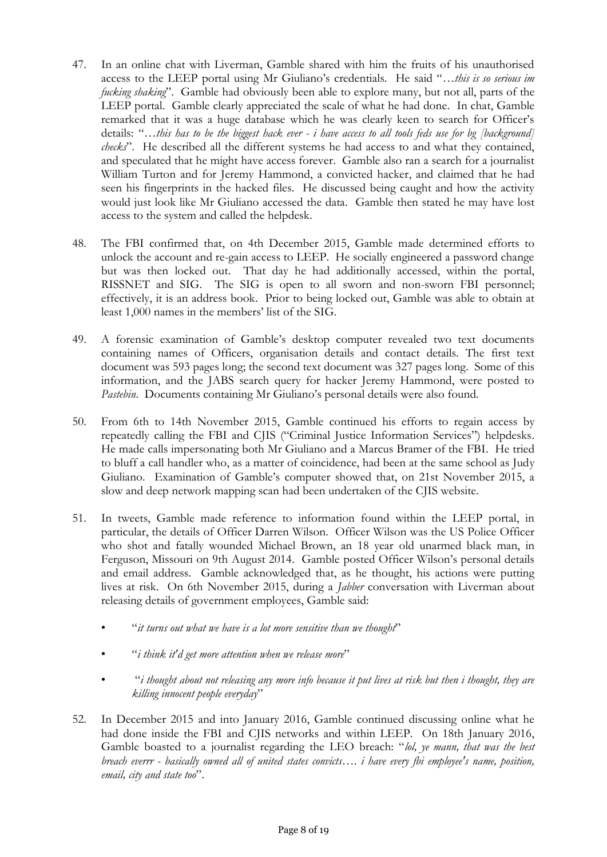- 47. In an online chat with Liverman, Gamble shared with him the fruits of his unauthorised access to the LEEP portal using Mr Giuliano's credentials. He said "*…this is so serious im fucking shaking*". Gamble had obviously been able to explore many, but not all, parts of the LEEP portal. Gamble clearly appreciated the scale of what he had done. In chat, Gamble remarked that it was a huge database which he was clearly keen to search for Officer's details: "*…this has to be the biggest hack ever - i have access to all tools feds use for bg [background] checks*". He described all the different systems he had access to and what they contained, and speculated that he might have access forever. Gamble also ran a search for a journalist William Turton and for Jeremy Hammond, a convicted hacker, and claimed that he had seen his fingerprints in the hacked files. He discussed being caught and how the activity would just look like Mr Giuliano accessed the data. Gamble then stated he may have lost access to the system and called the helpdesk.
- 48. The FBI confirmed that, on 4th December 2015, Gamble made determined efforts to unlock the account and re-gain access to LEEP. He socially engineered a password change but was then locked out. That day he had additionally accessed, within the portal, RISSNET and SIG. The SIG is open to all sworn and non-sworn FBI personnel; effectively, it is an address book. Prior to being locked out, Gamble was able to obtain at least 1,000 names in the members' list of the SIG.
- 49. A forensic examination of Gamble's desktop computer revealed two text documents containing names of Officers, organisation details and contact details. The first text document was 593 pages long; the second text document was 327 pages long. Some of this information, and the JABS search query for hacker Jeremy Hammond, were posted to *Pastebin*. Documents containing Mr Giuliano's personal details were also found.
- 50. From 6th to 14th November 2015, Gamble continued his efforts to regain access by repeatedly calling the FBI and CJIS ("Criminal Justice Information Services") helpdesks. He made calls impersonating both Mr Giuliano and a Marcus Bramer of the FBI. He tried to bluff a call handler who, as a matter of coincidence, had been at the same school as Judy Giuliano. Examination of Gamble's computer showed that, on 21st November 2015, a slow and deep network mapping scan had been undertaken of the CJIS website.
- 51. In tweets, Gamble made reference to information found within the LEEP portal, in particular, the details of Officer Darren Wilson. Officer Wilson was the US Police Officer who shot and fatally wounded Michael Brown, an 18 year old unarmed black man, in Ferguson, Missouri on 9th August 2014. Gamble posted Officer Wilson's personal details and email address. Gamble acknowledged that, as he thought, his actions were putting lives at risk. On 6th November 2015, during a *Jabber* conversation with Liverman about releasing details of government employees, Gamble said:
	- "*it turns out what we have is a lot more sensitive than we thought*"
	- "*i think it'd get more attention when we release more*"
	- "*i thought about not releasing any more info because it put lives at risk but then i thought, they are killing innocent people everyday*"
- 52. In December 2015 and into January 2016, Gamble continued discussing online what he had done inside the FBI and CJIS networks and within LEEP. On 18th January 2016, Gamble boasted to a journalist regarding the LEO breach: "*lol, ye mann, that was the best breach everrr - basically owned all of united states convicts…. i have every fbi employee's name, position, email, city and state too*".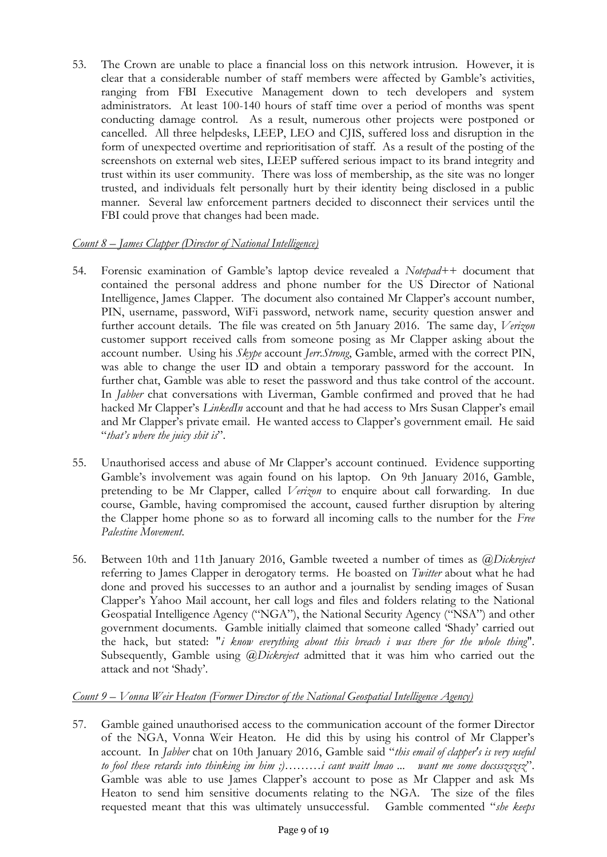53. The Crown are unable to place a financial loss on this network intrusion. However, it is clear that a considerable number of staff members were affected by Gamble's activities, ranging from FBI Executive Management down to tech developers and system administrators. At least 100-140 hours of staff time over a period of months was spent conducting damage control. As a result, numerous other projects were postponed or cancelled. All three helpdesks, LEEP, LEO and CJIS, suffered loss and disruption in the form of unexpected overtime and reprioritisation of staff*.* As a result of the posting of the screenshots on external web sites, LEEP suffered serious impact to its brand integrity and trust within its user community. There was loss of membership, as the site was no longer trusted, and individuals felt personally hurt by their identity being disclosed in a public manner. Several law enforcement partners decided to disconnect their services until the FBI could prove that changes had been made.

# *Count 8 – James Clapper (Director of National Intelligence)*

- 54. Forensic examination of Gamble's laptop device revealed a *Notepad++* document that contained the personal address and phone number for the US Director of National Intelligence, James Clapper. The document also contained Mr Clapper's account number, PIN, username, password, WiFi password, network name, security question answer and further account details. The file was created on 5th January 2016. The same day, *Verizon* customer support received calls from someone posing as Mr Clapper asking about the account number. Using his *Skype* account *Jerr.Strong*, Gamble, armed with the correct PIN, was able to change the user ID and obtain a temporary password for the account. In further chat, Gamble was able to reset the password and thus take control of the account. In *Jabber* chat conversations with Liverman, Gamble confirmed and proved that he had hacked Mr Clapper's *LinkedIn* account and that he had access to Mrs Susan Clapper's email and Mr Clapper's private email. He wanted access to Clapper's government email. He said "*that's where the juicy shit is*".
- 55. Unauthorised access and abuse of Mr Clapper's account continued. Evidence supporting Gamble's involvement was again found on his laptop. On 9th January 2016, Gamble, pretending to be Mr Clapper, called *Verizon* to enquire about call forwarding. In due course, Gamble, having compromised the account, caused further disruption by altering the Clapper home phone so as to forward all incoming calls to the number for the *Free Palestine Movement*.
- 56. Between 10th and 11th January 2016, Gamble tweeted a number of times as *@Dickreject* referring to James Clapper in derogatory terms. He boasted on *Twitter* about what he had done and proved his successes to an author and a journalist by sending images of Susan Clapper's Yahoo Mail account, her call logs and files and folders relating to the National Geospatial Intelligence Agency ("NGA"), the National Security Agency ("NSA") and other government documents. Gamble initially claimed that someone called 'Shady' carried out the hack, but stated: "*i know everything about this breach i was there for the whole thing*"*.*  Subsequently, Gamble using *@Dickreject* admitted that it was him who carried out the attack and not 'Shady'.

### *Count 9 – Vonna Weir Heaton (Former Director of the National Geospatial Intelligence Agency)*

57. Gamble gained unauthorised access to the communication account of the former Director of the NGA, Vonna Weir Heaton*.* He did this by using his control of Mr Clapper's account. In *Jabber* chat on 10th January 2016, Gamble said "*this email of clapper's is very useful to fool these retards into thinking im him ;)………i cant waitt lmao ... want me some docssszszsz*". Gamble was able to use James Clapper's account to pose as Mr Clapper and ask Ms Heaton to send him sensitive documents relating to the NGA. The size of the files requested meant that this was ultimately unsuccessful. Gamble commented "*she keeps*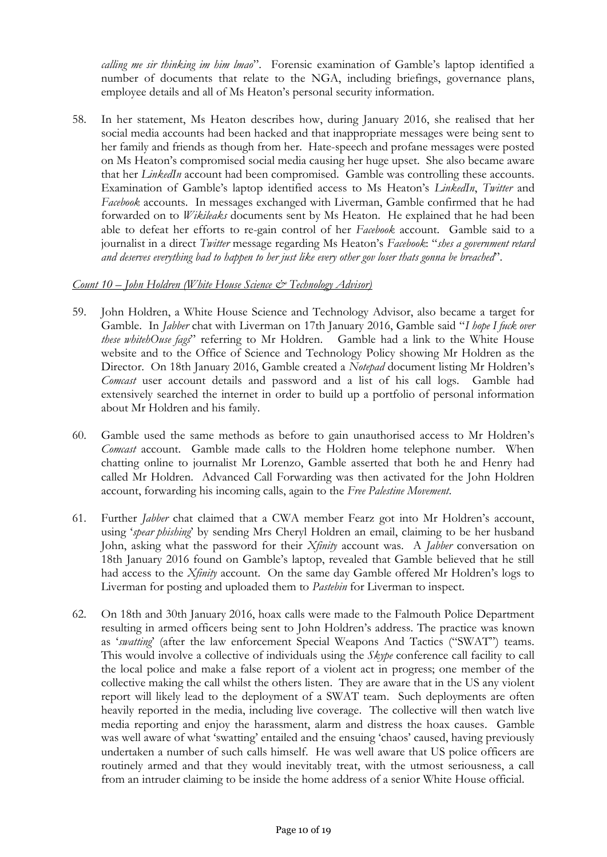*calling me sir thinking im him lmao*". Forensic examination of Gamble's laptop identified a number of documents that relate to the NGA, including briefings, governance plans, employee details and all of Ms Heaton's personal security information.

58. In her statement, Ms Heaton describes how, during January 2016, she realised that her social media accounts had been hacked and that inappropriate messages were being sent to her family and friends as though from her. Hate-speech and profane messages were posted on Ms Heaton's compromised social media causing her huge upset. She also became aware that her *LinkedIn* account had been compromised. Gamble was controlling these accounts. Examination of Gamble's laptop identified access to Ms Heaton's *LinkedIn*, *Twitter* and *Facebook* accounts. In messages exchanged with Liverman, Gamble confirmed that he had forwarded on to *Wikileaks* documents sent by Ms Heaton. He explained that he had been able to defeat her efforts to re-gain control of her *Facebook* account. Gamble said to a journalist in a direct *Twitter* message regarding Ms Heaton's *Facebook*: "*shes a government retard and deserves everything bad to happen to her just like every other gov loser thats gonna be breached*".

#### *Count 10 – John Holdren (White House Science & Technology Advisor)*

- 59. John Holdren, a White House Science and Technology Advisor, also became a target for Gamble. In *Jabber* chat with Liverman on 17th January 2016, Gamble said "*I hope I fuck over these whitehOuse fags*" referring to Mr Holdren. Gamble had a link to the White House website and to the Office of Science and Technology Policy showing Mr Holdren as the Director. On 18th January 2016, Gamble created a *Notepad* document listing Mr Holdren's *Comcast* user account details and password and a list of his call logs. Gamble had extensively searched the internet in order to build up a portfolio of personal information about Mr Holdren and his family.
- 60. Gamble used the same methods as before to gain unauthorised access to Mr Holdren's *Comcast* account. Gamble made calls to the Holdren home telephone number. When chatting online to journalist Mr Lorenzo, Gamble asserted that both he and Henry had called Mr Holdren. Advanced Call Forwarding was then activated for the John Holdren account, forwarding his incoming calls, again to the *Free Palestine Movement*.
- 61. Further *Jabber* chat claimed that a CWA member Fearz got into Mr Holdren's account, using '*spear phishing*' by sending Mrs Cheryl Holdren an email, claiming to be her husband John, asking what the password for their *Xfinity* account was. A *Jabber* conversation on 18th January 2016 found on Gamble's laptop, revealed that Gamble believed that he still had access to the *Xfinity* account. On the same day Gamble offered Mr Holdren's logs to Liverman for posting and uploaded them to *Pastebin* for Liverman to inspect.
- 62. On 18th and 30th January 2016, hoax calls were made to the Falmouth Police Department resulting in armed officers being sent to John Holdren's address. The practice was known as '*swatting*' (after the law enforcement Special Weapons And Tactics ("SWAT") teams. This would involve a collective of individuals using the *Skype* conference call facility to call the local police and make a false report of a violent act in progress; one member of the collective making the call whilst the others listen. They are aware that in the US any violent report will likely lead to the deployment of a SWAT team. Such deployments are often heavily reported in the media, including live coverage. The collective will then watch live media reporting and enjoy the harassment, alarm and distress the hoax causes. Gamble was well aware of what 'swatting' entailed and the ensuing 'chaos' caused, having previously undertaken a number of such calls himself. He was well aware that US police officers are routinely armed and that they would inevitably treat, with the utmost seriousness, a call from an intruder claiming to be inside the home address of a senior White House official.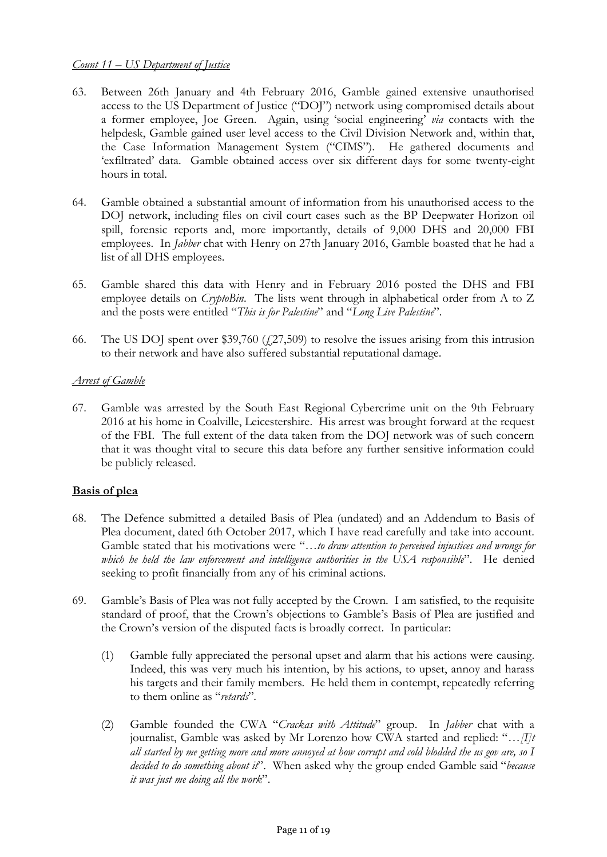### *Count 11 – US Department of Justice*

- 63. Between 26th January and 4th February 2016, Gamble gained extensive unauthorised access to the US Department of Justice ("DOJ") network using compromised details about a former employee, Joe Green. Again, using 'social engineering' *via* contacts with the helpdesk, Gamble gained user level access to the Civil Division Network and, within that, the Case Information Management System ("CIMS"). He gathered documents and 'exfiltrated' data. Gamble obtained access over six different days for some twenty-eight hours in total.
- 64. Gamble obtained a substantial amount of information from his unauthorised access to the DOJ network, including files on civil court cases such as the BP Deepwater Horizon oil spill, forensic reports and, more importantly, details of 9,000 DHS and 20,000 FBI employees. In *Jabber* chat with Henry on 27th January 2016, Gamble boasted that he had a list of all DHS employees.
- 65. Gamble shared this data with Henry and in February 2016 posted the DHS and FBI employee details on *CryptoBin*. The lists went through in alphabetical order from A to Z and the posts were entitled "*This is for Palestine*" and "*Long Live Palestine*".
- 66. The US DOJ spent over \$39,760  $(27,509)$  to resolve the issues arising from this intrusion to their network and have also suffered substantial reputational damage.

#### *Arrest of Gamble*

67. Gamble was arrested by the South East Regional Cybercrime unit on the 9th February 2016 at his home in Coalville, Leicestershire. His arrest was brought forward at the request of the FBI. The full extent of the data taken from the DOJ network was of such concern that it was thought vital to secure this data before any further sensitive information could be publicly released.

#### **Basis of plea**

- 68. The Defence submitted a detailed Basis of Plea (undated) and an Addendum to Basis of Plea document, dated 6th October 2017, which I have read carefully and take into account. Gamble stated that his motivations were "*…to draw attention to perceived injustices and wrongs for which he held the law enforcement and intelligence authorities in the USA responsible*". He denied seeking to profit financially from any of his criminal actions.
- 69. Gamble's Basis of Plea was not fully accepted by the Crown. I am satisfied, to the requisite standard of proof, that the Crown's objections to Gamble's Basis of Plea are justified and the Crown's version of the disputed facts is broadly correct. In particular:
	- (1) Gamble fully appreciated the personal upset and alarm that his actions were causing. Indeed, this was very much his intention, by his actions, to upset, annoy and harass his targets and their family members. He held them in contempt, repeatedly referring to them online as "*retards*".
	- (2) Gamble founded the CWA "*Crackas with Attitude*" group. In *Jabber* chat with a journalist, Gamble was asked by Mr Lorenzo how CWA started and replied: "*…[I]t all started by me getting more and more annoyed at how corrupt and cold blodded the us gov are, so I decided to do something about it*". When asked why the group ended Gamble said "*because it was just me doing all the work*".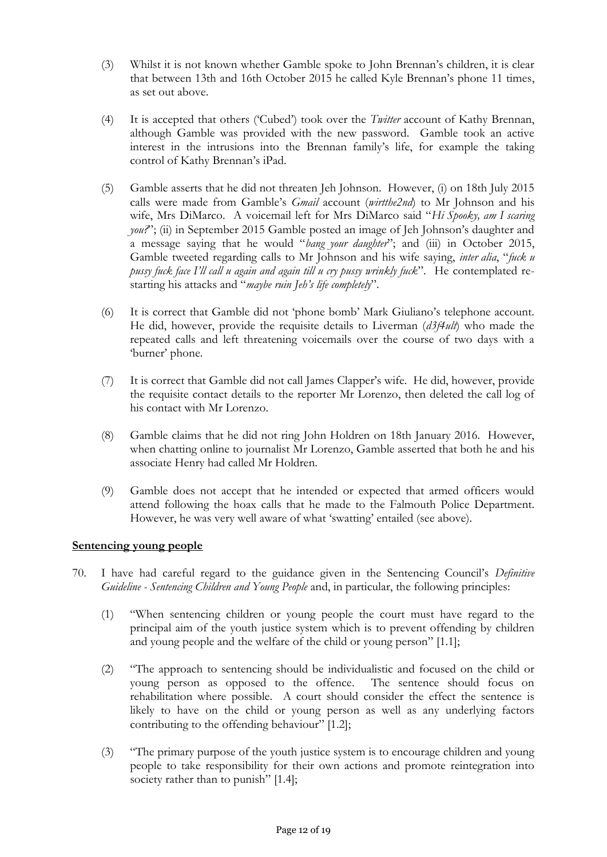- (3) Whilst it is not known whether Gamble spoke to John Brennan's children, it is clear that between 13th and 16th October 2015 he called Kyle Brennan's phone 11 times, as set out above.
- (4) It is accepted that others ('Cubed') took over the *Twitter* account of Kathy Brennan, although Gamble was provided with the new password. Gamble took an active interest in the intrusions into the Brennan family's life, for example the taking control of Kathy Brennan's iPad.
- (5) Gamble asserts that he did not threaten Jeh Johnson. However, (i) on 18th July 2015 calls were made from Gamble's *Gmail* account (*wirtthe2nd*) to Mr Johnson and his wife, Mrs DiMarco. A voicemail left for Mrs DiMarco said "*Hi Spooky, am I scaring you?*"; (ii) in September 2015 Gamble posted an image of Jeh Johnson's daughter and a message saying that he would "*bang your daughter*"; and (iii) in October 2015, Gamble tweeted regarding calls to Mr Johnson and his wife saying, *inter alia*, "*fuck u pussy fuck face I'll call u again and again till u cry pussy wrinkly fuck*". He contemplated restarting his attacks and "*maybe ruin Jeh's life completely*".
- (6) It is correct that Gamble did not 'phone bomb' Mark Giuliano's telephone account. He did, however, provide the requisite details to Liverman (*d3f4ult*) who made the repeated calls and left threatening voicemails over the course of two days with a 'burner' phone.
- (7) It is correct that Gamble did not call James Clapper's wife. He did, however, provide the requisite contact details to the reporter Mr Lorenzo, then deleted the call log of his contact with Mr Lorenzo.
- (8) Gamble claims that he did not ring John Holdren on 18th January 2016. However, when chatting online to journalist Mr Lorenzo, Gamble asserted that both he and his associate Henry had called Mr Holdren.
- (9) Gamble does not accept that he intended or expected that armed officers would attend following the hoax calls that he made to the Falmouth Police Department. However, he was very well aware of what 'swatting' entailed (see above).

#### **Sentencing young people**

- 70. I have had careful regard to the guidance given in the Sentencing Council's *Definitive Guideline - Sentencing Children and Young People* and, in particular, the following principles:
	- (1) "When sentencing children or young people the court must have regard to the principal aim of the youth justice system which is to prevent offending by children and young people and the welfare of the child or young person" [1.1];
	- (2) "The approach to sentencing should be individualistic and focused on the child or young person as opposed to the offence. The sentence should focus on rehabilitation where possible. A court should consider the effect the sentence is likely to have on the child or young person as well as any underlying factors contributing to the offending behaviour" [1.2];
	- (3) "The primary purpose of the youth justice system is to encourage children and young people to take responsibility for their own actions and promote reintegration into society rather than to punish" [1.4];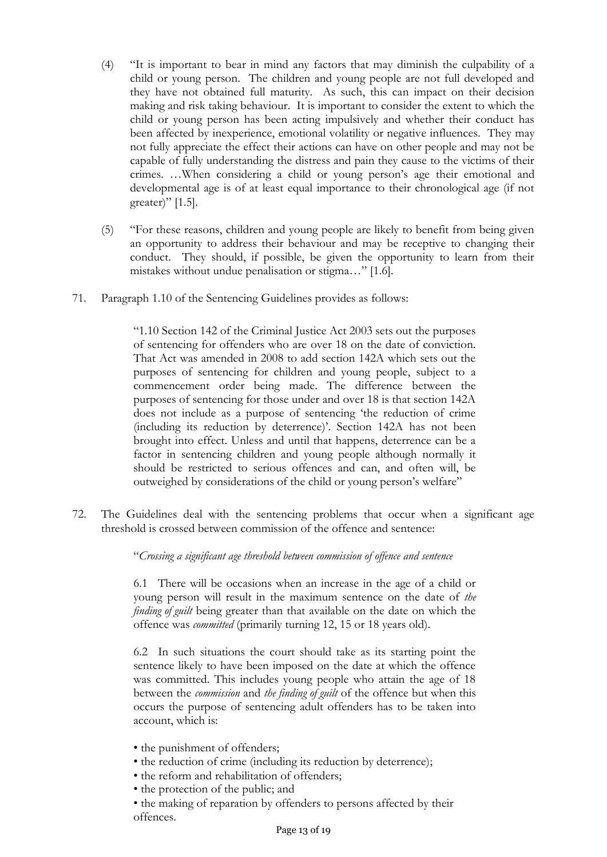- (4) "It is important to bear in mind any factors that may diminish the culpability of a child or young person. The children and young people are not full developed and they have not obtained full maturity. As such, this can impact on their decision making and risk taking behaviour. It is important to consider the extent to which the child or young person has been acting impulsively and whether their conduct has been affected by inexperience, emotional volatility or negative influences. They may not fully appreciate the effect their actions can have on other people and may not be capable of fully understanding the distress and pain they cause to the victims of their crimes. …When considering a child or young person's age their emotional and developmental age is of at least equal importance to their chronological age (if not greater)" [1.5].
- (5) "For these reasons, children and young people are likely to benefit from being given an opportunity to address their behaviour and may be receptive to changing their conduct. They should, if possible, be given the opportunity to learn from their mistakes without undue penalisation or stigma…" [1.6].
- 71. Paragraph 1.10 of the Sentencing Guidelines provides as follows:

"1.10 Section 142 of the Criminal Justice Act 2003 sets out the purposes of sentencing for offenders who are over 18 on the date of conviction. That Act was amended in 2008 to add section 142A which sets out the purposes of sentencing for children and young people, subject to a commencement order being made. The difference between the purposes of sentencing for those under and over 18 is that section 142A does not include as a purpose of sentencing 'the reduction of crime (including its reduction by deterrence)'. Section 142A has not been brought into effect. Unless and until that happens, deterrence can be a factor in sentencing children and young people although normally it should be restricted to serious offences and can, and often will, be outweighed by considerations of the child or young person's welfare"

72. The Guidelines deal with the sentencing problems that occur when a significant age threshold is crossed between commission of the offence and sentence:

"*Crossing a significant age threshold between commission of offence and sentence*

6.1 There will be occasions when an increase in the age of a child or young person will result in the maximum sentence on the date of *the finding of guilt* being greater than that available on the date on which the offence was *committed* (primarily turning 12, 15 or 18 years old).

6.2 In such situations the court should take as its starting point the sentence likely to have been imposed on the date at which the offence was committed. This includes young people who attain the age of 18 between the *commission* and *the finding of guilt* of the offence but when this occurs the purpose of sentencing adult offenders has to be taken into account, which is:

- the punishment of offenders;
- the reduction of crime (including its reduction by deterrence);
- the reform and rehabilitation of offenders;
- the protection of the public; and

• the making of reparation by offenders to persons affected by their offences.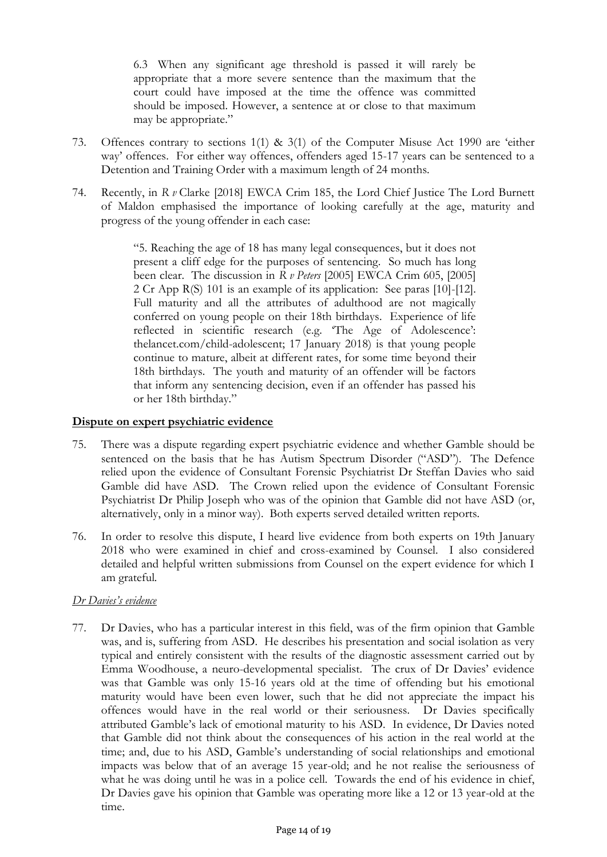6.3 When any significant age threshold is passed it will rarely be appropriate that a more severe sentence than the maximum that the court could have imposed at the time the offence was committed should be imposed. However, a sentence at or close to that maximum may be appropriate."

- 73. Offences contrary to sections 1(1) & 3(1) of the Computer Misuse Act 1990 are 'either way' offences. For either way offences, offenders aged 15-17 years can be sentenced to a Detention and Training Order with a maximum length of 24 months.
- 74. Recently, in *R v* Clarke [2018] EWCA Crim 185, the Lord Chief Justice The Lord Burnett of Maldon emphasised the importance of looking carefully at the age, maturity and progress of the young offender in each case:

"5. Reaching the age of 18 has many legal consequences, but it does not present a cliff edge for the purposes of sentencing. So much has long been clear. The discussion in *R v Peters* [2005] EWCA Crim 605, [2005] 2 Cr App R(S) 101 is an example of its application: See paras [10]-[12]. Full maturity and all the attributes of adulthood are not magically conferred on young people on their 18th birthdays. Experience of life reflected in scientific research (e.g. 'The Age of Adolescence': thelancet.com/child-adolescent; 17 January 2018) is that young people continue to mature, albeit at different rates, for some time beyond their 18th birthdays. The youth and maturity of an offender will be factors that inform any sentencing decision, even if an offender has passed his or her 18th birthday."

### **Dispute on expert psychiatric evidence**

- 75. There was a dispute regarding expert psychiatric evidence and whether Gamble should be sentenced on the basis that he has Autism Spectrum Disorder ("ASD")*.* The Defence relied upon the evidence of Consultant Forensic Psychiatrist Dr Steffan Davies who said Gamble did have ASD. The Crown relied upon the evidence of Consultant Forensic Psychiatrist Dr Philip Joseph who was of the opinion that Gamble did not have ASD (or, alternatively, only in a minor way). Both experts served detailed written reports.
- 76. In order to resolve this dispute, I heard live evidence from both experts on 19th January 2018 who were examined in chief and cross-examined by Counsel. I also considered detailed and helpful written submissions from Counsel on the expert evidence for which I am grateful*.*

#### *Dr Davies's evidence*

77. Dr Davies, who has a particular interest in this field, was of the firm opinion that Gamble was, and is, suffering from ASD. He describes his presentation and social isolation as very typical and entirely consistent with the results of the diagnostic assessment carried out by Emma Woodhouse, a neuro-developmental specialist. The crux of Dr Davies' evidence was that Gamble was only 15-16 years old at the time of offending but his emotional maturity would have been even lower, such that he did not appreciate the impact his offences would have in the real world or their seriousness. Dr Davies specifically attributed Gamble's lack of emotional maturity to his ASD. In evidence, Dr Davies noted that Gamble did not think about the consequences of his action in the real world at the time; and, due to his ASD, Gamble's understanding of social relationships and emotional impacts was below that of an average 15 year-old; and he not realise the seriousness of what he was doing until he was in a police cell. Towards the end of his evidence in chief, Dr Davies gave his opinion that Gamble was operating more like a 12 or 13 year-old at the time.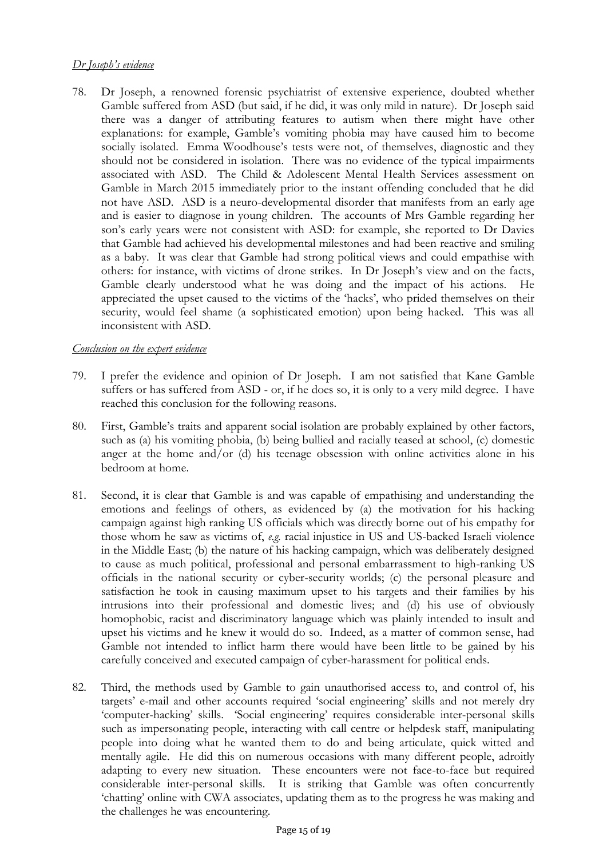# *Dr Joseph's evidence*

78. Dr Joseph, a renowned forensic psychiatrist of extensive experience, doubted whether Gamble suffered from ASD (but said, if he did, it was only mild in nature). Dr Joseph said there was a danger of attributing features to autism when there might have other explanations: for example, Gamble's vomiting phobia may have caused him to become socially isolated. Emma Woodhouse's tests were not, of themselves, diagnostic and they should not be considered in isolation. There was no evidence of the typical impairments associated with ASD. The Child & Adolescent Mental Health Services assessment on Gamble in March 2015 immediately prior to the instant offending concluded that he did not have ASD. ASD is a neuro-developmental disorder that manifests from an early age and is easier to diagnose in young children. The accounts of Mrs Gamble regarding her son's early years were not consistent with ASD: for example, she reported to Dr Davies that Gamble had achieved his developmental milestones and had been reactive and smiling as a baby. It was clear that Gamble had strong political views and could empathise with others: for instance, with victims of drone strikes. In Dr Joseph's view and on the facts, Gamble clearly understood what he was doing and the impact of his actions. He appreciated the upset caused to the victims of the 'hacks', who prided themselves on their security, would feel shame (a sophisticated emotion) upon being hacked. This was all inconsistent with ASD.

#### *Conclusion on the expert evidence*

- 79. I prefer the evidence and opinion of Dr Joseph. I am not satisfied that Kane Gamble suffers or has suffered from ASD - or, if he does so, it is only to a very mild degree. I have reached this conclusion for the following reasons.
- 80. First, Gamble's traits and apparent social isolation are probably explained by other factors, such as (a) his vomiting phobia, (b) being bullied and racially teased at school, (c) domestic anger at the home and/or (d) his teenage obsession with online activities alone in his bedroom at home.
- 81. Second, it is clear that Gamble is and was capable of empathising and understanding the emotions and feelings of others, as evidenced by (a) the motivation for his hacking campaign against high ranking US officials which was directly borne out of his empathy for those whom he saw as victims of, *e.g.* racial injustice in US and US-backed Israeli violence in the Middle East; (b) the nature of his hacking campaign, which was deliberately designed to cause as much political, professional and personal embarrassment to high-ranking US officials in the national security or cyber-security worlds; (c) the personal pleasure and satisfaction he took in causing maximum upset to his targets and their families by his intrusions into their professional and domestic lives; and (d) his use of obviously homophobic, racist and discriminatory language which was plainly intended to insult and upset his victims and he knew it would do so. Indeed, as a matter of common sense, had Gamble not intended to inflict harm there would have been little to be gained by his carefully conceived and executed campaign of cyber-harassment for political ends.
- 82. Third, the methods used by Gamble to gain unauthorised access to, and control of, his targets' e-mail and other accounts required 'social engineering' skills and not merely dry 'computer-hacking' skills. 'Social engineering' requires considerable inter-personal skills such as impersonating people, interacting with call centre or helpdesk staff, manipulating people into doing what he wanted them to do and being articulate, quick witted and mentally agile. He did this on numerous occasions with many different people, adroitly adapting to every new situation. These encounters were not face-to-face but required considerable inter-personal skills. It is striking that Gamble was often concurrently 'chatting' online with CWA associates, updating them as to the progress he was making and the challenges he was encountering.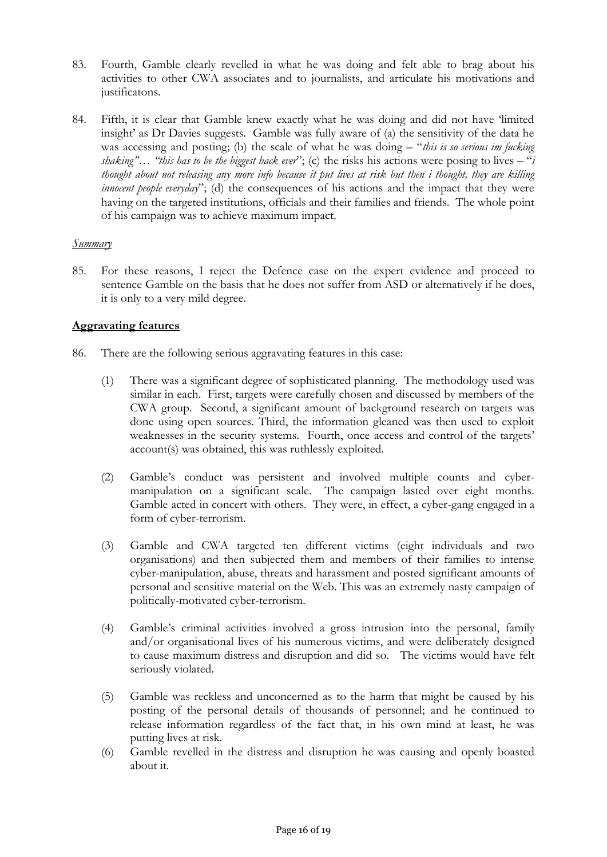- 83. Fourth, Gamble clearly revelled in what he was doing and felt able to brag about his activities to other CWA associates and to journalists, and articulate his motivations and justificatons.
- 84. Fifth, it is clear that Gamble knew exactly what he was doing and did not have 'limited insight' as Dr Davies suggests. Gamble was fully aware of (a) the sensitivity of the data he was accessing and posting; (b) the scale of what he was doing – "*this is so serious im fucking shaking"… "this has to be the biggest hack ever*"; (c) the risks his actions were posing to lives – "*i thought about not releasing any more info because it put lives at risk but then i thought, they are killing innocent people everyday*"; (d) the consequences of his actions and the impact that they were having on the targeted institutions, officials and their families and friends. The whole point of his campaign was to achieve maximum impact.

#### *Summary*

85. For these reasons, I reject the Defence case on the expert evidence and proceed to sentence Gamble on the basis that he does not suffer from ASD or alternatively if he does, it is only to a very mild degree.

# **Aggravating features**

- 86. There are the following serious aggravating features in this case:
	- (1) There was a significant degree of sophisticated planning. The methodology used was similar in each. First, targets were carefully chosen and discussed by members of the CWA group. Second, a significant amount of background research on targets was done using open sources. Third, the information gleaned was then used to exploit weaknesses in the security systems. Fourth, once access and control of the targets' account(s) was obtained, this was ruthlessly exploited.
	- (2) Gamble's conduct was persistent and involved multiple counts and cybermanipulation on a significant scale*.* The campaign lasted over eight months. Gamble acted in concert with others*.* They were, in effect, a cyber-gang engaged in a form of cyber-terrorism.
	- (3) Gamble and CWA targeted ten different victims (eight individuals and two organisations) and then subjected them and members of their families to intense cyber-manipulation, abuse, threats and harassment and posted significant amounts of personal and sensitive material on the Web. This was an extremely nasty campaign of politically-motivated cyber-terrorism.
	- (4) Gamble's criminal activities involved a gross intrusion into the personal, family and/or organisational lives of his numerous victims, and were deliberately designed to cause maximum distress and disruption and did so. The victims would have felt seriously violated.
	- (5) Gamble was reckless and unconcerned as to the harm that might be caused by his posting of the personal details of thousands of personnel; and he continued to release information regardless of the fact that, in his own mind at least, he was putting lives at risk.
	- (6) Gamble revelled in the distress and disruption he was causing and openly boasted about it.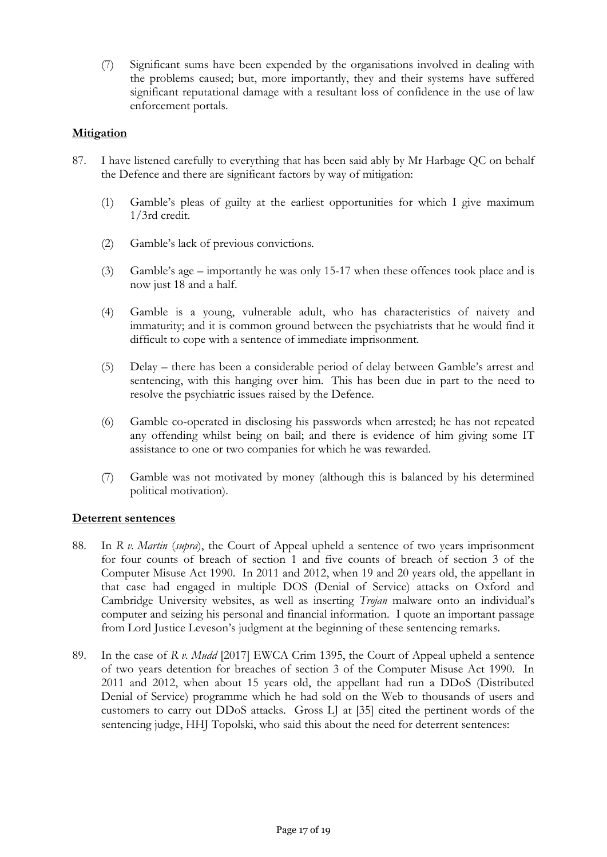(7) Significant sums have been expended by the organisations involved in dealing with the problems caused; but, more importantly, they and their systems have suffered significant reputational damage with a resultant loss of confidence in the use of law enforcement portals.

# **Mitigation**

- 87. I have listened carefully to everything that has been said ably by Mr Harbage QC on behalf the Defence and there are significant factors by way of mitigation:
	- (1) Gamble's pleas of guilty at the earliest opportunities for which I give maximum 1/3rd credit.
	- (2) Gamble's lack of previous convictions.
	- (3) Gamble's age importantly he was only 15-17 when these offences took place and is now just 18 and a half.
	- (4) Gamble is a young, vulnerable adult, who has characteristics of naivety and immaturity; and it is common ground between the psychiatrists that he would find it difficult to cope with a sentence of immediate imprisonment*.*
	- (5) Delay there has been a considerable period of delay between Gamble's arrest and sentencing, with this hanging over him*.* This has been due in part to the need to resolve the psychiatric issues raised by the Defence.
	- (6) Gamble co-operated in disclosing his passwords when arrested; he has not repeated any offending whilst being on bail; and there is evidence of him giving some IT assistance to one or two companies for which he was rewarded.
	- (7) Gamble was not motivated by money (although this is balanced by his determined political motivation).

#### **Deterrent sentences**

- 88. In *R v. Martin* (*supra*), the Court of Appeal upheld a sentence of two years imprisonment for four counts of breach of section 1 and five counts of breach of section 3 of the Computer Misuse Act 1990. In 2011 and 2012, when 19 and 20 years old, the appellant in that case had engaged in multiple DOS (Denial of Service) attacks on Oxford and Cambridge University websites, as well as inserting *Trojan* malware onto an individual's computer and seizing his personal and financial information. I quote an important passage from Lord Justice Leveson's judgment at the beginning of these sentencing remarks.
- 89. In the case of *R v. Mudd* [2017] EWCA Crim 1395, the Court of Appeal upheld a sentence of two years detention for breaches of section 3 of the Computer Misuse Act 1990. In 2011 and 2012, when about 15 years old, the appellant had run a DDoS (Distributed Denial of Service) programme which he had sold on the Web to thousands of users and customers to carry out DDoS attacks. Gross LJ at [35] cited the pertinent words of the sentencing judge, HHJ Topolski, who said this about the need for deterrent sentences: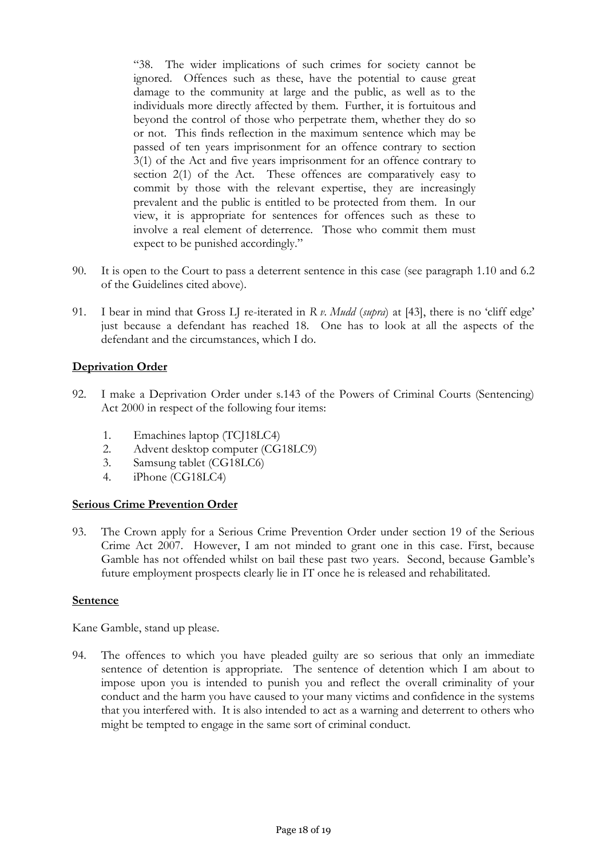"38. The wider implications of such crimes for society cannot be ignored. Offences such as these, have the potential to cause great damage to the community at large and the public, as well as to the individuals more directly affected by them*.* Further, it is fortuitous and beyond the control of those who perpetrate them, whether they do so or not. This finds reflection in the maximum sentence which may be passed of ten years imprisonment for an offence contrary to section 3(1) of the Act and five years imprisonment for an offence contrary to section 2(1) of the Act. These offences are comparatively easy to commit by those with the relevant expertise, they are increasingly prevalent and the public is entitled to be protected from them. In our view, it is appropriate for sentences for offences such as these to involve a real element of deterrence. Those who commit them must expect to be punished accordingly."

- 90. It is open to the Court to pass a deterrent sentence in this case (see paragraph 1.10 and 6.2 of the Guidelines cited above).
- 91. I bear in mind that Gross LJ re-iterated in *R v. Mudd* (*supra*) at [43], there is no 'cliff edge' just because a defendant has reached 18. One has to look at all the aspects of the defendant and the circumstances, which I do.

# **Deprivation Order**

- 92. I make a Deprivation Order under s.143 of the Powers of Criminal Courts (Sentencing) Act 2000 in respect of the following four items:
	- 1. Emachines laptop (TCJ18LC4)
	- 2. Advent desktop computer (CG18LC9)
	- 3. Samsung tablet (CG18LC6)
	- 4. iPhone (CG18LC4)

#### **Serious Crime Prevention Order**

93. The Crown apply for a Serious Crime Prevention Order under section 19 of the Serious Crime Act 2007. However, I am not minded to grant one in this case. First, because Gamble has not offended whilst on bail these past two years. Second, because Gamble's future employment prospects clearly lie in IT once he is released and rehabilitated.

### **Sentence**

Kane Gamble, stand up please.

94. The offences to which you have pleaded guilty are so serious that only an immediate sentence of detention is appropriate. The sentence of detention which I am about to impose upon you is intended to punish you and reflect the overall criminality of your conduct and the harm you have caused to your many victims and confidence in the systems that you interfered with. It is also intended to act as a warning and deterrent to others who might be tempted to engage in the same sort of criminal conduct.